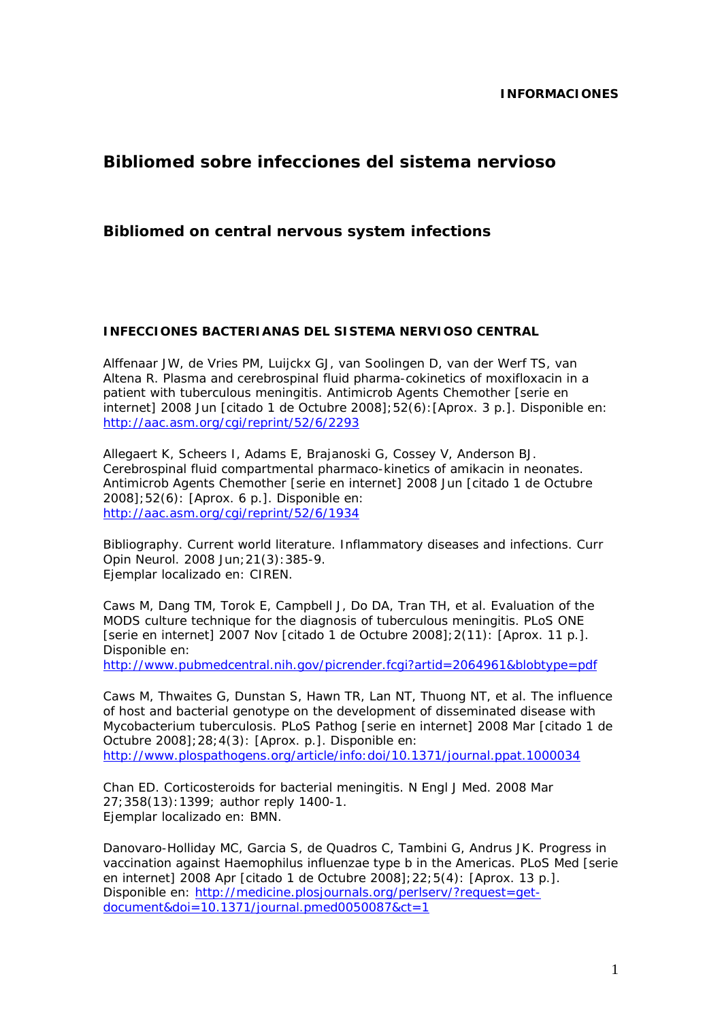# **Bibliomed sobre infecciones del sistema nervioso**

## **Bibliomed on central nervous system infections**

#### **INFECCIONES BACTERIANAS DEL SISTEMA NERVIOSO CENTRAL**

Alffenaar JW, de Vries PM, Luijckx GJ, van Soolingen D, van der Werf TS, van Altena R. Plasma and cerebrospinal fluid pharma-cokinetics of moxifloxacin in a patient with tuberculous meningitis. Antimicrob Agents Chemother [serie en internet] 2008 Jun [citado 1 de Octubre 2008];52(6):[Aprox. 3 p.]. Disponible en: http://aac.asm.org/cgi/reprint/52/6/2293

Allegaert K, Scheers I, Adams E, Brajanoski G, Cossey V, Anderson BJ. Cerebrospinal fluid compartmental pharmaco-kinetics of amikacin in neonates. Antimicrob Agents Chemother [serie en internet] 2008 Jun [citado 1 de Octubre 2008];52(6): [Aprox. 6 p.]. Disponible en: http://aac.asm.org/cgi/reprint/52/6/1934

Bibliography. Current world literature. Inflammatory diseases and infections. Curr Opin Neurol. 2008 Jun;21(3):385-9. Ejemplar localizado en: CIREN.

Caws M, Dang TM, Torok E, Campbell J, Do DA, Tran TH, et al. Evaluation of the MODS culture technique for the diagnosis of tuberculous meningitis. PLoS ONE [serie en internet] 2007 Nov [citado 1 de Octubre 2008];2(11): [Aprox. 11 p.]. Disponible en:

http://www.pubmedcentral.nih.gov/picrender.fcgi?artid=2064961&blobtype=pdf

Caws M, Thwaites G, Dunstan S, Hawn TR, Lan NT, Thuong NT, et al. The influence of host and bacterial genotype on the development of disseminated disease with Mycobacterium tuberculosis. PLoS Pathog [serie en internet] 2008 Mar [citado 1 de Octubre 2008];28;4(3): [Aprox. p.]. Disponible en: http://www.plospathogens.org/article/info:doi/10.1371/journal.ppat.1000034

Chan ED. Corticosteroids for bacterial meningitis. N Engl J Med. 2008 Mar 27;358(13):1399; author reply 1400-1. Ejemplar localizado en: BMN.

Danovaro-Holliday MC, Garcia S, de Quadros C, Tambini G, Andrus JK. Progress in vaccination against *Haemophilus influenzae* type b in the Americas. PLoS Med [serie en internet] 2008 Apr [citado 1 de Octubre 2008];22;5(4): [Aprox. 13 p.]. Disponible en: http://medicine.plosjournals.org/perlserv/?request=getdocument&doi=10.1371/journal.pmed0050087&ct=1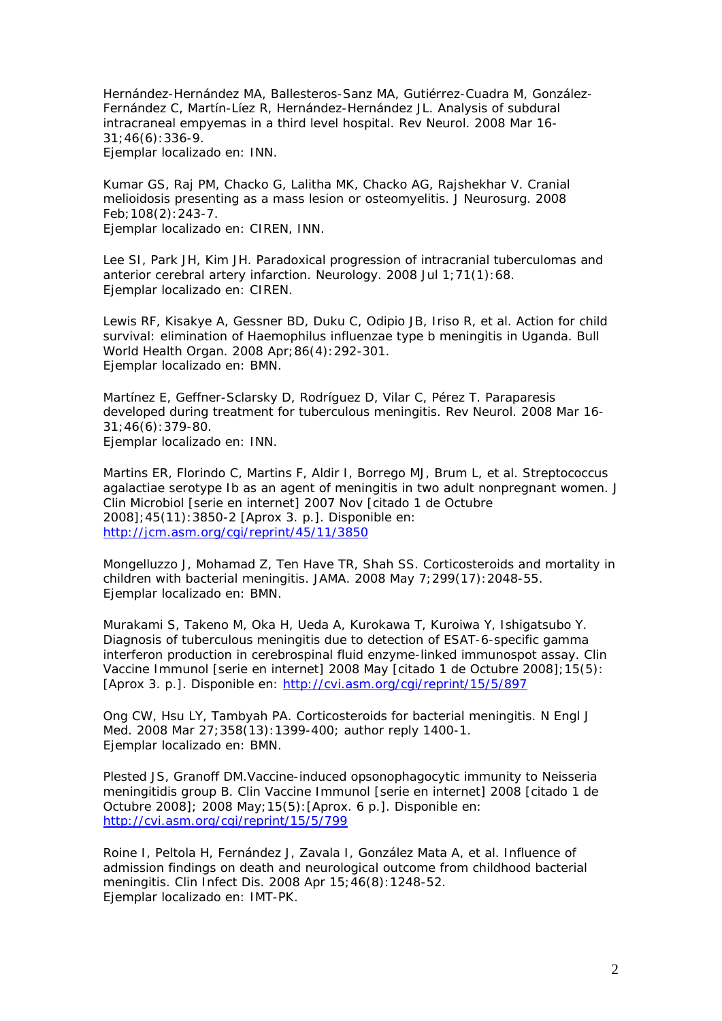Hernández-Hernández MA, Ballesteros-Sanz MA, Gutiérrez-Cuadra M, González-Fernández C, Martín-Líez R, Hernández-Hernández JL. Analysis of subdural intracraneal empyemas in a third level hospital. Rev Neurol. 2008 Mar 16- 31;46(6):336-9. Ejemplar localizado en: INN.

Kumar GS, Raj PM, Chacko G, Lalitha MK, Chacko AG, Rajshekhar V. Cranial melioidosis presenting as a mass lesion or osteomyelitis. J Neurosurg. 2008 Feb;108(2):243-7.

Ejemplar localizado en: CIREN, INN.

Lee SI, Park JH, Kim JH. Paradoxical progression of intracranial tuberculomas and anterior cerebral artery infarction. Neurology. 2008 Jul 1;71(1):68. Ejemplar localizado en: CIREN.

Lewis RF, Kisakye A, Gessner BD, Duku C, Odipio JB, Iriso R, et al. Action for child survival: elimination of *Haemophilus influenzae* type b meningitis in Uganda. Bull World Health Organ. 2008 Apr;86(4):292-301. Ejemplar localizado en: BMN.

Martínez E, Geffner-Sclarsky D, Rodríguez D, Vilar C, Pérez T. Paraparesis developed during treatment for tuberculous meningitis. Rev Neurol. 2008 Mar 16- 31;46(6):379-80. Ejemplar localizado en: INN.

Martins ER, Florindo C, Martins F, Aldir I, Borrego MJ, Brum L, et al. Streptococcus agalactiae serotype Ib as an agent of meningitis in two adult nonpregnant women. J Clin Microbiol [serie en internet] 2007 Nov [citado 1 de Octubre 2008];45(11):3850-2 [Aprox 3. p.]. Disponible en: http://jcm.asm.org/cgi/reprint/45/11/3850

Mongelluzzo J, Mohamad Z, Ten Have TR, Shah SS. Corticosteroids and mortality in children with bacterial meningitis. JAMA. 2008 May 7;299(17):2048-55. Ejemplar localizado en: BMN.

Murakami S, Takeno M, Oka H, Ueda A, Kurokawa T, Kuroiwa Y, Ishigatsubo Y. Diagnosis of tuberculous meningitis due to detection of ESAT-6-specific gamma interferon production in cerebrospinal fluid enzyme-linked immunospot assay. Clin Vaccine Immunol [serie en internet] 2008 May [citado 1 de Octubre 2008];15(5): [Aprox 3. p.]. Disponible en: http://cvi.asm.org/cgi/reprint/15/5/897

Ong CW, Hsu LY, Tambyah PA. Corticosteroids for bacterial meningitis. N Engl J Med. 2008 Mar 27;358(13):1399-400; author reply 1400-1. Ejemplar localizado en: BMN.

Plested JS, Granoff DM.Vaccine-induced opsonophagocytic immunity to Neisseria meningitidis group B. Clin Vaccine Immunol [serie en internet] 2008 [citado 1 de Octubre 2008]; 2008 May;15(5):[Aprox. 6 p.]. Disponible en: http://cvi.asm.org/cgi/reprint/15/5/799

Roine I, Peltola H, Fernández J, Zavala I, González Mata A, et al. Influence of admission findings on death and neurological outcome from childhood bacterial meningitis. Clin Infect Dis. 2008 Apr 15;46(8):1248-52. Ejemplar localizado en: IMT-PK.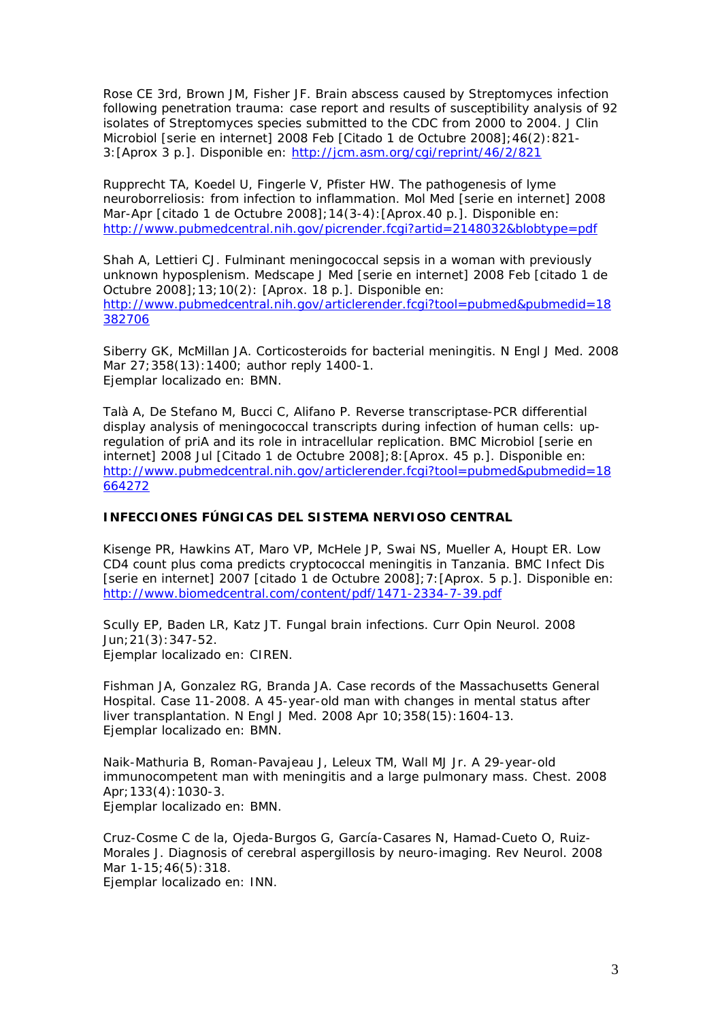Rose CE 3rd, Brown JM, Fisher JF. Brain abscess caused by Streptomyces infection following penetration trauma: case report and results of susceptibility analysis of 92 isolates of Streptomyces species submitted to the CDC from 2000 to 2004. J Clin Microbiol [serie en internet] 2008 Feb [Citado 1 de Octubre 2008];46(2):821- 3:[Aprox 3 p.]. Disponible en: http://jcm.asm.org/cgi/reprint/46/2/821

Rupprecht TA, Koedel U, Fingerle V, Pfister HW. The pathogenesis of lyme neuroborreliosis: from infection to inflammation. Mol Med [serie en internet] 2008 Mar-Apr [citado 1 de Octubre 2008];14(3-4):[Aprox.40 p.]. Disponible en: http://www.pubmedcentral.nih.gov/picrender.fcgi?artid=2148032&blobtype=pdf

Shah A, Lettieri CJ. Fulminant meningococcal sepsis in a woman with previously unknown hyposplenism. Medscape J Med [serie en internet] 2008 Feb [citado 1 de Octubre 2008];13;10(2): [Aprox. 18 p.]. Disponible en: http://www.pubmedcentral.nih.gov/articlerender.fcgi?tool=pubmed&pubmedid=18 382706

Siberry GK, McMillan JA. Corticosteroids for bacterial meningitis. N Engl J Med. 2008 Mar 27;358(13):1400; author reply 1400-1. Ejemplar localizado en: BMN.

Talà A, De Stefano M, Bucci C, Alifano P. Reverse transcriptase-PCR differential display analysis of meningococcal transcripts during infection of human cells: upregulation of priA and its role in intracellular replication. BMC Microbiol [serie en internet] 2008 Jul [Citado 1 de Octubre 2008];8:[Aprox. 45 p.]. Disponible en: http://www.pubmedcentral.nih.gov/articlerender.fcgi?tool=pubmed&pubmedid=18 664272

#### **INFECCIONES FÚNGICAS DEL SISTEMA NERVIOSO CENTRAL**

Kisenge PR, Hawkins AT, Maro VP, McHele JP, Swai NS, Mueller A, Houpt ER. Low CD4 count plus coma predicts cryptococcal meningitis in Tanzania. BMC Infect Dis [serie en internet] 2007 [citado 1 de Octubre 2008];7:[Aprox. 5 p.]. Disponible en: http://www.biomedcentral.com/content/pdf/1471-2334-7-39.pdf

Scully EP, Baden LR, Katz JT. Fungal brain infections. Curr Opin Neurol. 2008 Jun;21(3):347-52. Ejemplar localizado en: CIREN.

Fishman JA, Gonzalez RG, Branda JA. Case records of the Massachusetts General Hospital. Case 11-2008. A 45-year-old man with changes in mental status after liver transplantation. N Engl J Med. 2008 Apr 10;358(15):1604-13. Ejemplar localizado en: BMN.

Naik-Mathuria B, Roman-Pavajeau J, Leleux TM, Wall MJ Jr. A 29-year-old immunocompetent man with meningitis and a large pulmonary mass. Chest. 2008 Apr;133(4):1030-3. Ejemplar localizado en: BMN.

Cruz-Cosme C de la, Ojeda-Burgos G, García-Casares N, Hamad-Cueto O, Ruiz-Morales J. Diagnosis of cerebral aspergillosis by neuro-imaging. Rev Neurol. 2008 Mar 1-15;46(5):318.

Ejemplar localizado en: INN.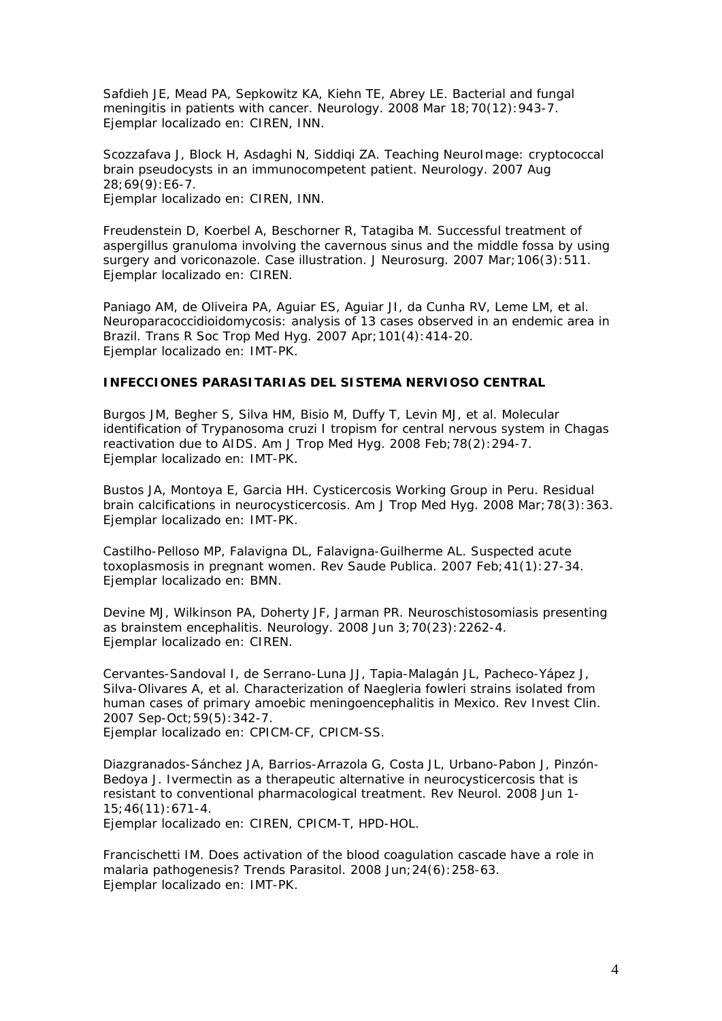Safdieh JE, Mead PA, Sepkowitz KA, Kiehn TE, Abrey LE. Bacterial and fungal meningitis in patients with cancer. Neurology. 2008 Mar 18;70(12):943-7. Ejemplar localizado en: CIREN, INN.

Scozzafava J, Block H, Asdaghi N, Siddiqi ZA. Teaching NeuroImage: cryptococcal brain pseudocysts in an immunocompetent patient. Neurology. 2007 Aug 28;69(9):E6-7. Ejemplar localizado en: CIREN, INN.

Freudenstein D, Koerbel A, Beschorner R, Tatagiba M. Successful treatment of aspergillus granuloma involving the cavernous sinus and the middle fossa by using surgery and voriconazole. Case illustration. J Neurosurg. 2007 Mar;106(3):511. Ejemplar localizado en: CIREN.

Paniago AM, de Oliveira PA, Aguiar ES, Aguiar JI, da Cunha RV, Leme LM, et al. Neuroparacoccidioidomycosis: analysis of 13 cases observed in an endemic area in Brazil. Trans R Soc Trop Med Hyg. 2007 Apr;101(4):414-20. Ejemplar localizado en: IMT-PK.

#### **INFECCIONES PARASITARIAS DEL SISTEMA NERVIOSO CENTRAL**

Burgos JM, Begher S, Silva HM, Bisio M, Duffy T, Levin MJ, et al. Molecular identification of Trypanosoma cruzi I tropism for central nervous system in Chagas reactivation due to AIDS. Am J Trop Med Hyg. 2008 Feb;78(2):294-7. Ejemplar localizado en: IMT-PK.

Bustos JA, Montoya E, Garcia HH. Cysticercosis Working Group in Peru. Residual brain calcifications in neurocysticercosis. Am J Trop Med Hyg. 2008 Mar;78(3):363. Ejemplar localizado en: IMT-PK.

Castilho-Pelloso MP, Falavigna DL, Falavigna-Guilherme AL. Suspected acute toxoplasmosis in pregnant women. Rev Saude Publica. 2007 Feb;41(1):27-34. Ejemplar localizado en: BMN.

Devine MJ, Wilkinson PA, Doherty JF, Jarman PR. Neuroschistosomiasis presenting as brainstem encephalitis. Neurology. 2008 Jun 3;70(23):2262-4. Ejemplar localizado en: CIREN.

Cervantes-Sandoval I, de Serrano-Luna JJ, Tapia-Malagán JL, Pacheco-Yápez J, Silva-Olivares A, et al. Characterization of Naegleria fowleri strains isolated from human cases of primary amoebic meningoencephalitis in Mexico. Rev Invest Clin. 2007 Sep-Oct;59(5):342-7.

Ejemplar localizado en: CPICM-CF, CPICM-SS.

Diazgranados-Sánchez JA, Barrios-Arrazola G, Costa JL, Urbano-Pabon J, Pinzón-Bedoya J. Ivermectin as a therapeutic alternative in neurocysticercosis that is resistant to conventional pharmacological treatment. Rev Neurol. 2008 Jun 1- 15;46(11):671-4.

Ejemplar localizado en: CIREN, CPICM-T, HPD-HOL.

Francischetti IM. Does activation of the blood coagulation cascade have a role in malaria pathogenesis? Trends Parasitol. 2008 Jun;24(6):258-63. Ejemplar localizado en: IMT-PK.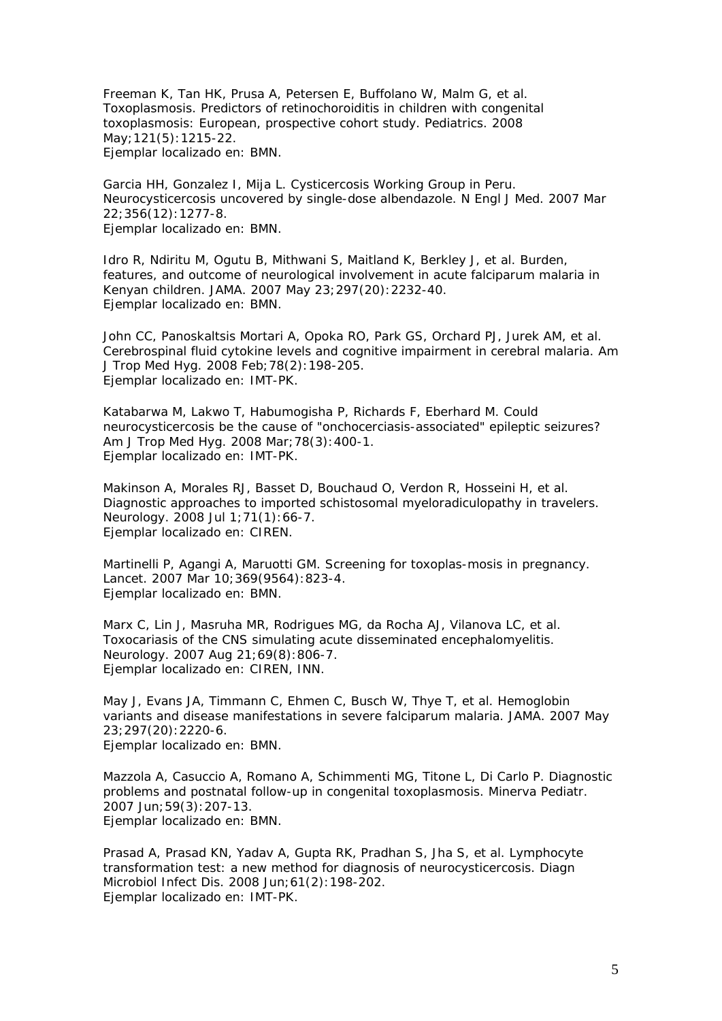Freeman K, Tan HK, Prusa A, Petersen E, Buffolano W, Malm G, et al. Toxoplasmosis. Predictors of retinochoroiditis in children with congenital toxoplasmosis: European, prospective cohort study. Pediatrics. 2008 May;121(5):1215-22. Ejemplar localizado en: BMN.

Garcia HH, Gonzalez I, Mija L. Cysticercosis Working Group in Peru. Neurocysticercosis uncovered by single-dose albendazole. N Engl J Med. 2007 Mar 22;356(12):1277-8. Ejemplar localizado en: BMN.

Idro R, Ndiritu M, Ogutu B, Mithwani S, Maitland K, Berkley J, et al. Burden, features, and outcome of neurological involvement in acute falciparum malaria in Kenyan children. JAMA. 2007 May 23;297(20):2232-40. Ejemplar localizado en: BMN.

John CC, Panoskaltsis Mortari A, Opoka RO, Park GS, Orchard PJ, Jurek AM, et al. Cerebrospinal fluid cytokine levels and cognitive impairment in cerebral malaria. Am J Trop Med Hyg. 2008 Feb;78(2):198-205. Ejemplar localizado en: IMT-PK.

Katabarwa M, Lakwo T, Habumogisha P, Richards F, Eberhard M. Could neurocysticercosis be the cause of "onchocerciasis-associated" epileptic seizures? Am J Trop Med Hyg. 2008 Mar;78(3):400-1. Ejemplar localizado en: IMT-PK.

Makinson A, Morales RJ, Basset D, Bouchaud O, Verdon R, Hosseini H, et al. Diagnostic approaches to imported schistosomal myeloradiculopathy in travelers. Neurology. 2008 Jul 1;71(1):66-7. Ejemplar localizado en: CIREN.

Martinelli P, Agangi A, Maruotti GM. Screening for toxoplas-mosis in pregnancy. Lancet. 2007 Mar 10;369(9564):823-4. Ejemplar localizado en: BMN.

Marx C, Lin J, Masruha MR, Rodrigues MG, da Rocha AJ, Vilanova LC, et al. Toxocariasis of the CNS simulating acute disseminated encephalomyelitis. Neurology. 2007 Aug 21;69(8):806-7. Ejemplar localizado en: CIREN, INN.

May J, Evans JA, Timmann C, Ehmen C, Busch W, Thye T, et al. Hemoglobin variants and disease manifestations in severe falciparum malaria. JAMA. 2007 May 23;297(20):2220-6. Ejemplar localizado en: BMN.

Mazzola A, Casuccio A, Romano A, Schimmenti MG, Titone L, Di Carlo P. Diagnostic problems and postnatal follow-up in congenital toxoplasmosis. Minerva Pediatr. 2007 Jun;59(3):207-13. Ejemplar localizado en: BMN.

Prasad A, Prasad KN, Yadav A, Gupta RK, Pradhan S, Jha S, et al. Lymphocyte transformation test: a new method for diagnosis of neurocysticercosis. Diagn Microbiol Infect Dis. 2008 Jun;61(2):198-202. Ejemplar localizado en: IMT-PK.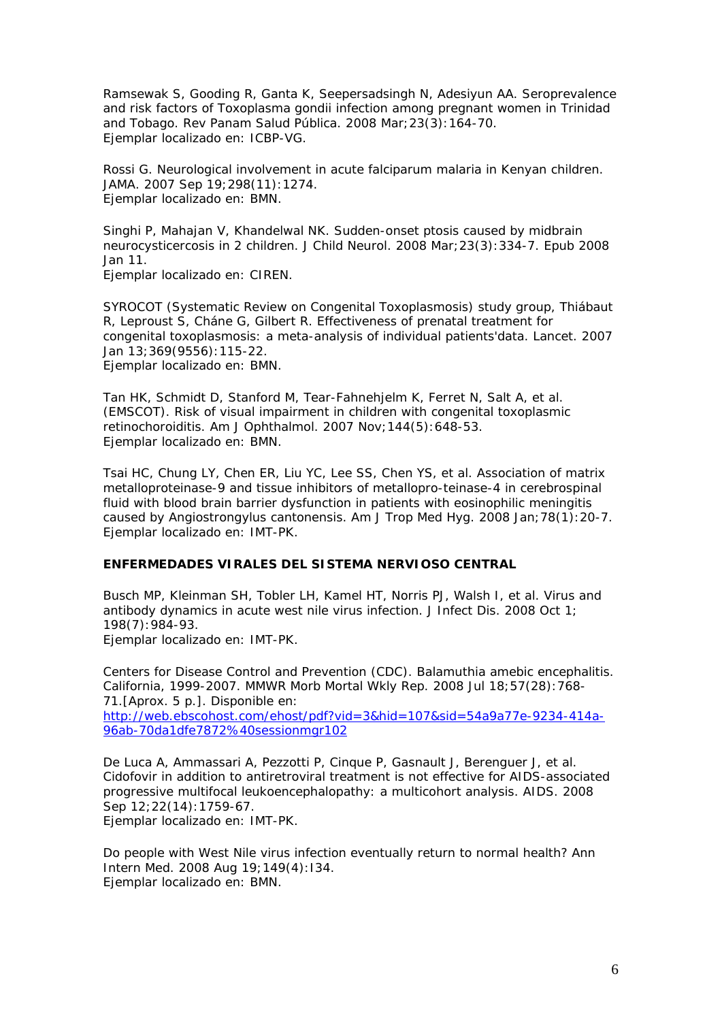Ramsewak S, Gooding R, Ganta K, Seepersadsingh N, Adesiyun AA. Seroprevalence and risk factors of Toxoplasma gondii infection among pregnant women in Trinidad and Tobago. Rev Panam Salud Pública. 2008 Mar;23(3):164-70. Ejemplar localizado en: ICBP-VG.

Rossi G. Neurological involvement in acute falciparum malaria in Kenyan children. JAMA. 2007 Sep 19;298(11):1274. Ejemplar localizado en: BMN.

Singhi P, Mahajan V, Khandelwal NK. Sudden-onset ptosis caused by midbrain neurocysticercosis in 2 children. J Child Neurol. 2008 Mar;23(3):334-7. Epub 2008 Jan 11. Ejemplar localizado en: CIREN.

SYROCOT (Systematic Review on Congenital Toxoplasmosis) study group, Thiábaut R, Leproust S, Cháne G, Gilbert R. Effectiveness of prenatal treatment for congenital toxoplasmosis: a meta-analysis of individual patients'data. Lancet. 2007 Jan 13;369(9556):115-22. Ejemplar localizado en: BMN.

Tan HK, Schmidt D, Stanford M, Tear-Fahnehjelm K, Ferret N, Salt A, et al. (EMSCOT). Risk of visual impairment in children with congenital toxoplasmic retinochoroiditis. Am J Ophthalmol. 2007 Nov;144(5):648-53. Ejemplar localizado en: BMN.

Tsai HC, Chung LY, Chen ER, Liu YC, Lee SS, Chen YS, et al. Association of matrix metalloproteinase-9 and tissue inhibitors of metallopro-teinase-4 in cerebrospinal fluid with blood brain barrier dysfunction in patients with eosinophilic meningitis caused by Angiostrongylus cantonensis. Am J Trop Med Hyg. 2008 Jan;78(1):20-7. Ejemplar localizado en: IMT-PK.

### **ENFERMEDADES VIRALES DEL SISTEMA NERVIOSO CENTRAL**

Busch MP, Kleinman SH, Tobler LH, Kamel HT, Norris PJ, Walsh I, et al. Virus and antibody dynamics in acute west nile virus infection. J Infect Dis. 2008 Oct 1; 198(7):984-93.

Ejemplar localizado en: IMT-PK.

Centers for Disease Control and Prevention (CDC). Balamuthia amebic encephalitis. California, 1999-2007. MMWR Morb Mortal Wkly Rep. 2008 Jul 18;57(28):768- 71.[Aprox. 5 p.]. Disponible en:

http://web.ebscohost.com/ehost/pdf?vid=3&hid=107&sid=54a9a77e-9234-414a-96ab-70da1dfe7872%40sessionmgr102

De Luca A, Ammassari A, Pezzotti P, Cinque P, Gasnault J, Berenguer J, et al. Cidofovir in addition to antiretroviral treatment is not effective for AIDS-associated progressive multifocal leukoencephalopathy: a multicohort analysis. AIDS. 2008 Sep  $12:22(14):1759-67$ .

Ejemplar localizado en: IMT-PK.

Do people with West Nile virus infection eventually return to normal health? Ann Intern Med. 2008 Aug 19;149(4):I34. Ejemplar localizado en: BMN.